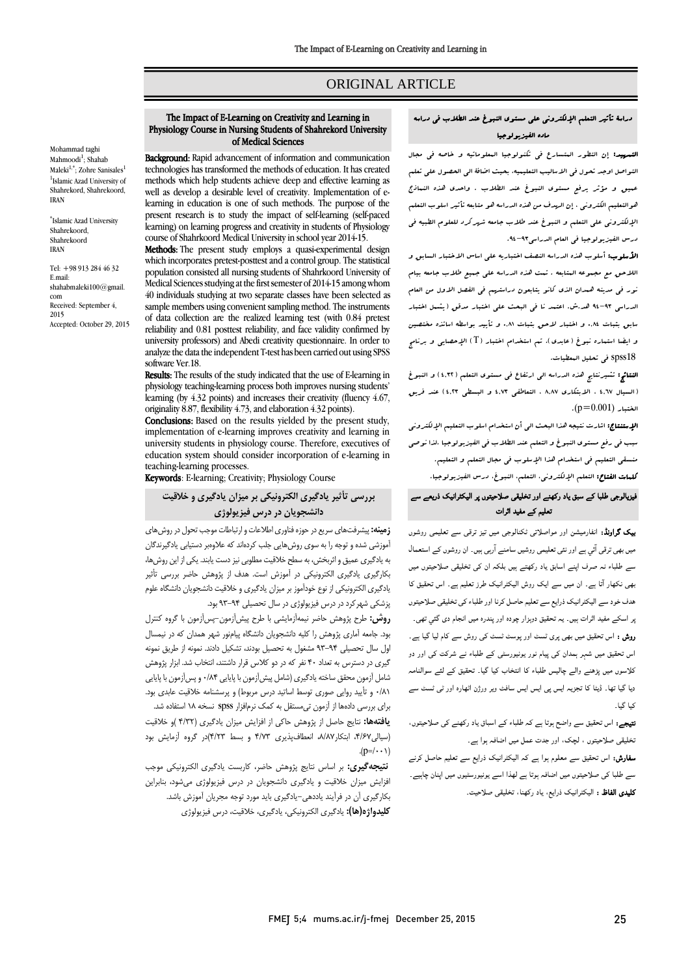# ORIGINAL ARTICLE

# دراسة تأثير التعلم اإللكتروني علي مستوی النبوغ عند الطالب في دراسه ماده الفيزيولوجيا

التمهيد: إن التطور المتسارع في تكنولوجيا المعلوماتيه و خاصه في مجال التواصل اوجد تحول في االساليب التعليميه، بحيث اضافة الي الحصول علي تعلم عميق و مؤثر يرفع مستوی النبوغ عند الطالب . واحدی هذه النماذج هوالتعليم الكتروني ، إن الهدف من هذه الدراسه هو متابعه تأثير اسلوب التعلم اإللكتروني علي التعلم و النبوغ عند طالب جامعه شهركرد للعلوم الطبيه في درس الفيزيولوجيا في العام الدراسي.39-39

**الأسلوب:** أسلوب هذه الدراسه النصف اختباريه على اساس الاختبار السابق و الالحق مع مجموعه المتابعه . تمت هذه الدراسه علي جميع طالب جامعه بيام نور في مدينه همدان الذی كانو يتابعون دراستهم في الفصل االول من العام الدراسي 39-39 هد.ش. اعتمد نا في البحث علي اختبار مدقق )يشمل اختبار سابق بثبات 48.9 و اختبار الحق بثبات 48.0 و تأييد بواسطه اساتذه مختصين و ايضا استعاره نبوغ ( عابدی ). تم استخدام اختبار ( T ) الإحصايي و برنامج 18spss في تحليل المعطيات.

النتائج: تشيرنتايج هذه الدراسه الي ارتفاع في مستوی التعلم )9894( و النبوغ )السيال 98.4 ، االبتكاری .8.4 ، التعاطفي 9849 و البسطي 9849( عند فريق  $(p=0.001)$ الختبار.

**الإستنتاج:** اشارت نتيجه هذا البحث ال<sub>ى</sub> أن استخدام اسلوب التعليم الإلكتروني سبب في رفع مستوی النبوغ و التعلم عند الطالب في الفيزيولوجيا .لذا نوصي منسقي التعليم في استخدام هذا اإلسلوب في مجال التعلم و التعليم. كلمات الفتاح: التعلم اإللكتروني، التعلم، النبوغ، درس الفيزيولوجيا.

### فیزیالوجی طلبا کے سبق یاد رکھنے اور تخلیقی صلاحیتوں پر الیکٹرانیک ذریعے سے تعلیم کے مفید اثرات

بیک گراوںڈ: انفارمیشن اور مواصلاتی ٹکنالوجی میں تیز ترقی سے تعلیمی روشوں میں بھی ترقی آئی ہے اور نئی تعلیمی روشیں سامنے آرہی ہیں۔ ان روشوں کے استعمال سے طلباء نہ صرف اپنے اسابق یاد رکھتے ہیں بلکہ ان کی تخلیقی صلاحیتوں میں بھی نکھار آتا ہے۔ ان میں سے ایک روش الیکٹرانیک طرز تعلیم ہے۔ اس تحقیق کا ھدف خود سے الیکٹرانیک ذرایع سے تعلیم حاصل کرنا اور طلباء کی تخلیقی صلاحیتوں پر اسکے مفید اثرات ہیں۔ یہ تحقیق دوہزار چودہ اور پندرہ میں انجام دی گئي تھی۔ روش : اس تحقیق میں بھی پری ٹسٹ اور پوسٹ ٹسٹ کی روش سے کام لیا گيا ہے۔ اس تحقیق میں شہر ہمدان کی پیام نور یونیورسٹی کے طلباء نے شرکت کی اور دو کلاسوں میں پڑھنے والے چالیس طلباء کا انتخاب کیا گیا۔ تحقیق کے لئے سوالنامہ دیا گیا تھا۔ ڈیٹا کا تجزیہ ایس پی ایس ایس سافٹ ویر ورژن اٹھارہ اور ٹی ٹسٹ سے کیا گيا۔

نتیجے: اس تحقیق سے واضح ہوتا ہے کہ طلباء کے اسباق یاد رکھنے کی صلاحیتوں، تخلیقی صلاحیتوں ، لچک، اور جدت عمل میں اضافہ ہوا ہے۔

سفارش: اس تحقیق سے معلوم ہوا ہے کہ الیکٹرانیک ذرایع سے تعلیم حاصل کرنے سے طلبا کی صلاحیتوں میں اضافہ ہوتا ہے لھذا اسے یونیورسٹیوں میں اپنان چاہیے۔ کلیدی الفاظ : الیکٹرانیک ذرایع، یاد رکھنا، تخلیقی صلاحیت۔

#### The Impact of E-Learning on Creativity and Learning in Physiology Course in Nursing Students of Shahrekord University of Medical Sciences

Background: Rapid advancement of information and communication technologies has transformed the methods of education. It has created methods which help students achieve deep and effective learning as well as develop a desirable level of creativity. Implementation of elearning in education is one of such methods. The purpose of the present research is to study the impact of self-learning (self-paced learning) on learning progress and creativity in students of Physiology course of Shahrkoord Medical University in school year 2014-15.

Methods: The present study employs a quasi-experimental design which incorporates pretest-posttest and a control group. The statistical population consisted all nursing students of Shahrkoord University of Medical Sciences studying at the first semester of 2014-15 among whom 40 individuals studying at two separate classes have been selected as sample members using convenient sampling method. The instruments of data collection are the realized learning test (with 0.84 pretest reliability and 0.81 posttest reliability, and face validity confirmed by university professors) and Abedi creativity questionnaire. In order to analyze the data the independent T-test has been carried out using SPSS software Ver.18.

Results: The results of the study indicated that the use of E-learning in physiology teaching-learning process both improves nursing students' learning (by 4.32 points) and increases their creativity (fluency 4.67, originality 8.87, flexibility 4.73, and elaboration 4.32 points).

Conclusions: Based on the results yielded by the present study, implementation of e-learning improves creativity and learning in university students in physiology course. Therefore, executives of education system should consider incorporation of e-learning in teaching-learning processes.

Keywords: E-learning; Creativity; Physiology Course

# **بررسی تأثیر یادگیری الکترونیکی بر میزان یادگیری و خالقیت دانشجویان در درس فیزیولوژی**

**زمینه:** پیشرفتهای سریع در حوزه فناوری اطالعات و ارتباطات موجب تحول در روشهای آموزشی شده و توجه را به سوی روشهایی جلب کردهاند که عالوهبر دستیابی یادگیرندگان به یادگیری عمیق و اثربخش، به سطح خالقیت مطلوبی نیز دست یابند. یکی از این روشها، بکارگیری یادگیری الکترونیکی در آموزش است. هدف از پژوهش حاضر بررسی تأثیر یادگیری الکترونیکی از نوع خودآموز بر میزان یادگیری و خالقیت دانشجویان دانشگاه علوم پزشکی شهرکرد در درس فیزیولوژی در سال تحصیلی 93-94 بود.

**روش:** طرح پژوهش حاضر نیمهآزمایشی با طرح پیشآزمون-پسآزمون با گروه کنترل بود. جامعه آماری پژوهش را کلیه دانشجویان دانشگاه پیامنور شهر همدان که در نیمسال اول سال تحصیلی 93-94 مشغول به تحصیل بودند، تشکیل دادند. نمونه از طریق نمونه گیری در دسترس به تعداد 40 نفر که در دو کالس قرار داشتند، انتخاب شد. ابزار پژوهش شامل آزمون محقق ساخته یادگیری (شامل پیشآزمون با پایایی ۰/۸۴ و پسآزمون با پایایی ۰/۸۱ و تأیید روایی صوری توسط اساتید درس مربوط) و پرسشنامه خلاقیت عابدی بود. برای بررسی دادهها از آزمون تیمستقل به کمک نرمافزار spss نسخه 18 استفاده شد.

**یافتهها:** نتایج حاصل از پژوهش حاکی از افزایش میزان یادگیری )4/32 (و خالقیت )سیالی،4/67 ابتکار،8/87 انعطافپذیری 4/73 و بسط 4/23(در گروه آزمایش بود .( $p=/\cdot \cdot \cdot$ )

**نتیجهگیری:** بر اساس نتایج پژوهش حاضر، کاربست یادگیری الکترونیکی موجب افزایش میزان خالقیت و یادگیری دانشجویان در درس فیزیولوژی میشود، بنابراین بکارگیری آن در فرآیند یاددهی-یادگیری باید مورد توجه مجریان آموزش باشد. **کلیدواژه)ها(:** یادگیری الکترونیکی، یادگیری، خالقیت، درس فیزیولوژی

Mohammad taghi Mahmoodi<sup>1</sup>; Shahab Maleki<sup>1,\*</sup>; Zohre Sanisales<sup>1</sup> <sup>1</sup>Islamic Azad University of Shahrekord, Shahrekoord, IRAN

\* Islamic Azad University Shahrekoord, Shahrekoord IRAN

Tel: +98 913 284 46 32 E.mail: shahabmaleki100@gmail. com Received: September 4, 2015 Accepted: October 29, 2015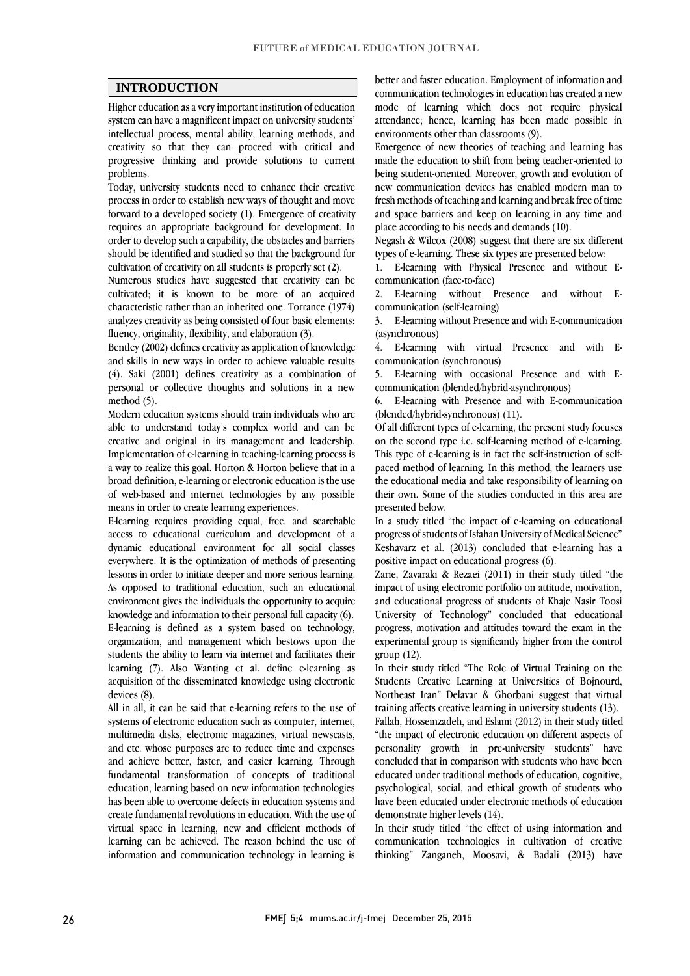### **INTRODUCTION**

Higher education as a very important institution of education system can have a magnificent impact on university students' intellectual process, mental ability, learning methods, and creativity so that they can proceed with critical and progressive thinking and provide solutions to current problems.

Today, university students need to enhance their creative process in order to establish new ways of thought and move forward to a developed society (1). Emergence of creativity requires an appropriate background for development. In order to develop such a capability, the obstacles and barriers should be identified and studied so that the background for cultivation of creativity on all students is properly set (2).

Numerous studies have suggested that creativity can be cultivated; it is known to be more of an acquired characteristic rather than an inherited one. Torrance (1974) analyzes creativity as being consisted of four basic elements: fluency, originality, flexibility, and elaboration (3).

Bentley (2002) defines creativity as application of knowledge and skills in new ways in order to achieve valuable results (4). Saki (2001) defines creativity as a combination of personal or collective thoughts and solutions in a new method (5).

Modern education systems should train individuals who are able to understand today's complex world and can be creative and original in its management and leadership. Implementation of e-learning in teaching-learning process is a way to realize this goal. Horton & Horton believe that in a broad definition, e-learning or electronic education is the use of web-based and internet technologies by any possible means in order to create learning experiences.

E-learning requires providing equal, free, and searchable access to educational curriculum and development of a dynamic educational environment for all social classes everywhere. It is the optimization of methods of presenting lessons in order to initiate deeper and more serious learning. As opposed to traditional education, such an educational environment gives the individuals the opportunity to acquire knowledge and information to their personal full capacity (6). E-learning is defined as a system based on technology, organization, and management which bestows upon the students the ability to learn via internet and facilitates their learning (7). Also Wanting et al. define e-learning as acquisition of the disseminated knowledge using electronic devices (8).

All in all, it can be said that e-learning refers to the use of systems of electronic education such as computer, internet, multimedia disks, electronic magazines, virtual newscasts, and etc. whose purposes are to reduce time and expenses and achieve better, faster, and easier learning. Through fundamental transformation of concepts of traditional education, learning based on new information technologies has been able to overcome defects in education systems and create fundamental revolutions in education. With the use of virtual space in learning, new and efficient methods of learning can be achieved. The reason behind the use of information and communication technology in learning is

better and faster education. Employment of information and communication technologies in education has created a new mode of learning which does not require physical attendance; hence, learning has been made possible in environments other than classrooms (9).

Emergence of new theories of teaching and learning has made the education to shift from being teacher-oriented to being student-oriented. Moreover, growth and evolution of new communication devices has enabled modern man to fresh methods of teaching and learning and break free of time and space barriers and keep on learning in any time and place according to his needs and demands (10).

Negash & Wilcox (2008) suggest that there are six different types of e-learning. These six types are presented below:

1. E-learning with Physical Presence and without Ecommunication (face-to-face)

2. E-learning without Presence and without Ecommunication (self-learning)

3. E-learning without Presence and with E-communication (asynchronous)

4. E-learning with virtual Presence and with Ecommunication (synchronous)

5. E-learning with occasional Presence and with Ecommunication (blended/hybrid-asynchronous)

6. E-learning with Presence and with E-communication (blended/hybrid-synchronous) (11).

Of all different types of e-learning, the present study focuses on the second type i.e. self-learning method of e-learning. This type of e-learning is in fact the self-instruction of selfpaced method of learning. In this method, the learners use the educational media and take responsibility of learning on their own. Some of the studies conducted in this area are presented below.

In a study titled "the impact of e-learning on educational progress of students of Isfahan University of Medical Science" Keshavarz et al. (2013) concluded that e-learning has a positive impact on educational progress (6).

Zarie, Zavaraki & Rezaei (2011) in their study titled "the impact of using electronic portfolio on attitude, motivation, and educational progress of students of Khaje Nasir Toosi University of Technology" concluded that educational progress, motivation and attitudes toward the exam in the experimental group is significantly higher from the control group (12).

In their study titled "The Role of Virtual Training on the Students Creative Learning at Universities of Bojnourd, Northeast Iran" Delavar & Ghorbani suggest that virtual training affects creative learning in university students (13).

Fallah, Hosseinzadeh, and Eslami (2012) in their study titled "the impact of electronic education on different aspects of personality growth in pre-university students" have concluded that in comparison with students who have been educated under traditional methods of education, cognitive, psychological, social, and ethical growth of students who have been educated under electronic methods of education demonstrate higher levels (14).

In their study titled "the effect of using information and communication technologies in cultivation of creative thinking" Zanganeh, Moosavi, & Badali (2013) have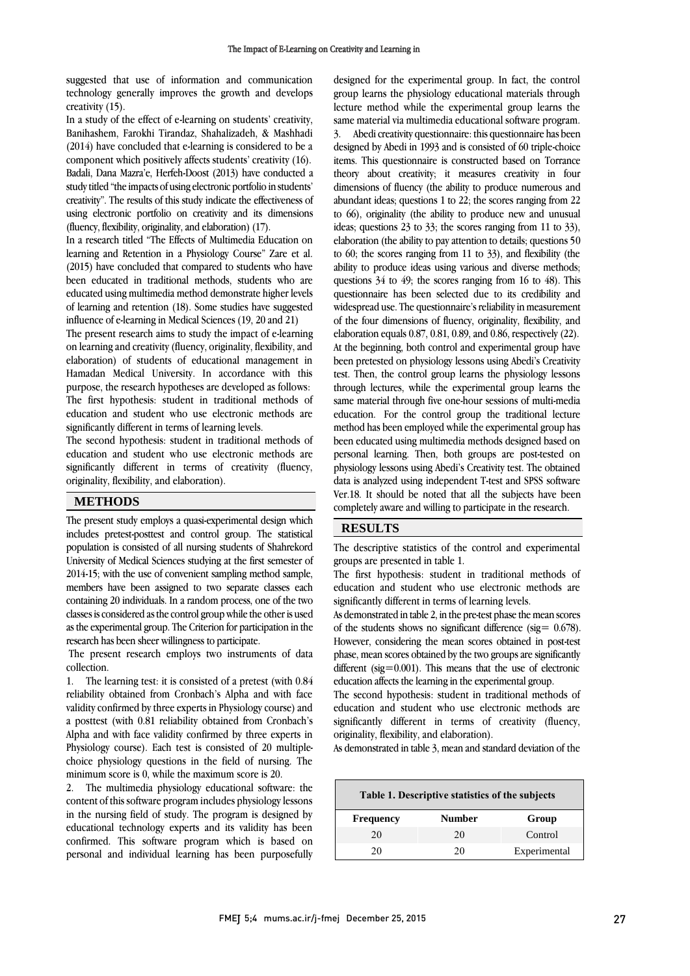suggested that use of information and communication technology generally improves the growth and develops creativity (15).

In a study of the effect of e-learning on students' creativity, Banihashem, Farokhi Tirandaz, Shahalizadeh, & Mashhadi (2014) have concluded that e-learning is considered to be a component which positively affects students' creativity (16). Badali, Dana Mazra'e, Herfeh-Doost (2013) have conducted a study titled "the impacts of using electronic portfolio in students' creativity". The results of this study indicate the effectiveness of using electronic portfolio on creativity and its dimensions (fluency, flexibility, originality, and elaboration) (17).

In a research titled "The Effects of Multimedia Education on learning and Retention in a Physiology Course" Zare et al. (2015) have concluded that compared to students who have been educated in traditional methods, students who are educated using multimedia method demonstrate higher levels of learning and retention (18). Some studies have suggested influence of e-learning in Medical Sciences (19, 20 and 21)

The present research aims to study the impact of e-learning on learning and creativity (fluency, originality, flexibility, and elaboration) of students of educational management in Hamadan Medical University. In accordance with this purpose, the research hypotheses are developed as follows: The first hypothesis: student in traditional methods of education and student who use electronic methods are significantly different in terms of learning levels.

The second hypothesis: student in traditional methods of education and student who use electronic methods are significantly different in terms of creativity (fluency, originality, flexibility, and elaboration).

## **METHODS**

The present study employs a quasi-experimental design which includes pretest-posttest and control group. The statistical population is consisted of all nursing students of Shahrekord University of Medical Sciences studying at the first semester of 2014-15; with the use of convenient sampling method sample, members have been assigned to two separate classes each containing 20 individuals. In a random process, one of the two classes is considered as the control group while the other is used as the experimental group. The Criterion for participation in the research has been sheer willingness to participate.

The present research employs two instruments of data collection.

1. The learning test: it is consisted of a pretest (with 0.84 reliability obtained from Cronbach's Alpha and with face validity confirmed by three experts in Physiology course) and a posttest (with 0.81 reliability obtained from Cronbach's Alpha and with face validity confirmed by three experts in Physiology course). Each test is consisted of 20 multiplechoice physiology questions in the field of nursing. The minimum score is 0, while the maximum score is 20.

2. The multimedia physiology educational software: the content of this software program includes physiology lessons in the nursing field of study. The program is designed by educational technology experts and its validity has been confirmed. This software program which is based on personal and individual learning has been purposefully designed for the experimental group. In fact, the control group learns the physiology educational materials through lecture method while the experimental group learns the same material via multimedia educational software program. 3. Abedi creativity questionnaire: this questionnaire has been designed by Abedi in 1993 and is consisted of 60 triple-choice items. This questionnaire is constructed based on Torrance theory about creativity; it measures creativity in four dimensions of fluency (the ability to produce numerous and abundant ideas; questions 1 to 22; the scores ranging from 22 to 66), originality (the ability to produce new and unusual ideas; questions 23 to 33; the scores ranging from 11 to 33), elaboration (the ability to payattention to details; questions 50 to 60; the scores ranging from 11 to 33), and flexibility (the ability to produce ideas using various and diverse methods; questions 34 to 49; the scores ranging from 16 to 48). This questionnaire has been selected due to its credibility and widespread use. The questionnaire's reliability in measurement of the four dimensions of fluency, originality, flexibility, and elaboration equals 0.87, 0.81, 0.89, and 0.86, respectively (22). At the beginning, both control and experimental group have been pretested on physiology lessons using Abedi's Creativity test. Then, the control group learns the physiology lessons through lectures, while the experimental group learns the same material through five one-hour sessions of multi-media education. For the control group the traditional lecture method has been employed while the experimental group has been educated using multimedia methods designed based on personal learning. Then, both groups are post-tested on physiology lessons using Abedi's Creativity test. The obtained data is analyzed using independent T-test and SPSS software Ver.18. It should be noted that all the subjects have been completely aware and willing to participate in the research.

# **RESULTS**

The descriptive statistics of the control and experimental groups are presented in table 1.

The first hypothesis: student in traditional methods of education and student who use electronic methods are significantly different in terms of learning levels.

As demonstrated in table 2, in the pre-test phase the mean scores of the students shows no significant difference (sig=  $0.678$ ). However, considering the mean scores obtained in post-test phase, mean scores obtained by the two groups are significantly different ( $sig=0.001$ ). This means that the use of electronic education affects the learning in the experimental group.

The second hypothesis: student in traditional methods of education and student who use electronic methods are significantly different in terms of creativity (fluency, originality, flexibility, and elaboration).

As demonstrated in table 3, mean and standard deviation of the

| Table 1. Descriptive statistics of the subjects |        |              |  |  |  |  |  |
|-------------------------------------------------|--------|--------------|--|--|--|--|--|
| <b>Frequency</b>                                | Number | Group        |  |  |  |  |  |
| 20                                              | 20     | Control      |  |  |  |  |  |
| 20                                              | 20     | Experimental |  |  |  |  |  |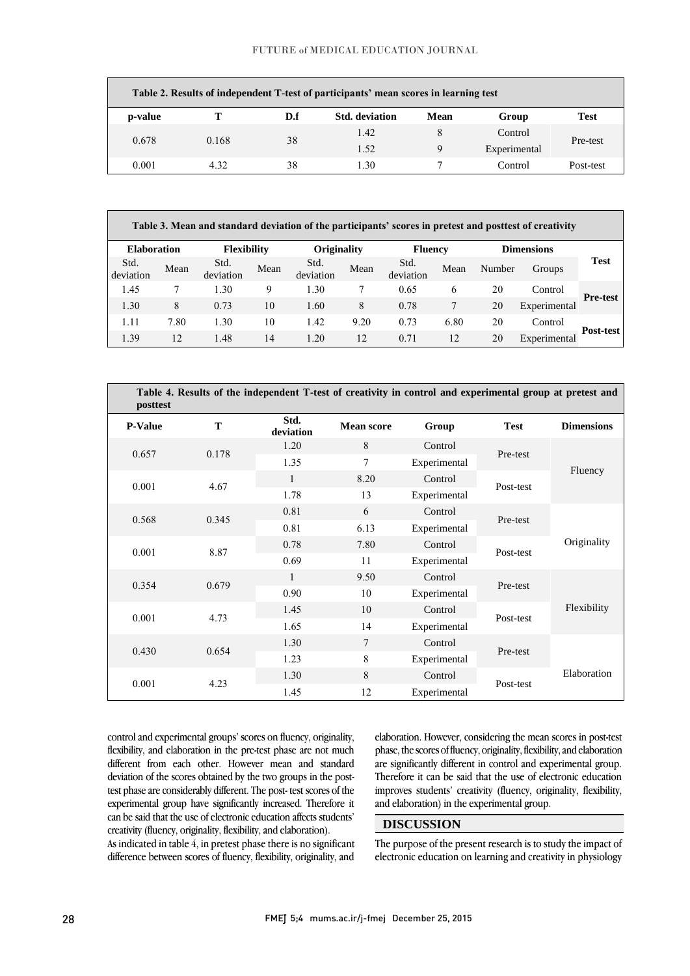| Table 2. Results of independent T-test of participants' mean scores in learning test |       |     |                       |      |              |             |  |
|--------------------------------------------------------------------------------------|-------|-----|-----------------------|------|--------------|-------------|--|
| p-value                                                                              |       | D.f | <b>Std.</b> deviation | Mean | Group        | <b>Test</b> |  |
| 0.678                                                                                |       | 38  | 1.42                  | 8    | Control      | Pre-test    |  |
|                                                                                      | 0.168 |     | 1.52                  | 9    | Experimental |             |  |
| 0.001                                                                                | 4.32  | 38  | 1.30                  |      | Control      | Post-test   |  |

| Table 3. Mean and standard deviation of the participants' scores in pretest and posttest of creativity |                   |        |                |                   |             |                   |      |                                          |      |                   |
|--------------------------------------------------------------------------------------------------------|-------------------|--------|----------------|-------------------|-------------|-------------------|------|------------------------------------------|------|-------------------|
|                                                                                                        | <b>Dimensions</b> |        | <b>Fluency</b> |                   | Originality |                   |      | <b>Elaboration</b><br><b>Flexibility</b> |      |                   |
| <b>Test</b>                                                                                            | Groups            | Number | Mean           | Std.<br>deviation | Mean        | Std.<br>deviation | Mean | Std.<br>deviation                        | Mean | Std.<br>deviation |
| <b>Pre-test</b>                                                                                        | Control           | 20     | 6              | 0.65              |             | 1.30              | 9    | 1.30                                     |      | 1.45              |
|                                                                                                        | Experimental      | 20     | 7              | 0.78              | 8           | 1.60              | 10   | 0.73                                     | 8    | 1.30              |
|                                                                                                        | Control           | 20     | 6.80           | 0.73              | 9.20        | 1.42              | 10   | 1.30                                     | 7.80 | 1.11              |
| Post-test                                                                                              | Experimental      | 20     | 12             | 0.71              | 12          | 1.20              | 14   | 1.48                                     | 12   | 1.39              |

| Table 4. Results of the independent T-test of creativity in control and experimental group at pretest and<br>posttest |               |                   |                   |              |             |                   |      |    |              |           |
|-----------------------------------------------------------------------------------------------------------------------|---------------|-------------------|-------------------|--------------|-------------|-------------------|------|----|--------------|-----------|
| <b>P-Value</b>                                                                                                        | T             | Std.<br>deviation | <b>Mean score</b> | Group        | <b>Test</b> | <b>Dimensions</b> |      |    |              |           |
| 0.657                                                                                                                 | 0.178         | 1.20              | 8                 | Control      | Pre-test    |                   |      |    |              |           |
|                                                                                                                       |               | 1.35              | $\overline{7}$    | Experimental |             | Fluency           |      |    |              |           |
|                                                                                                                       | 0.001<br>4.67 | $\mathbf{1}$      | 8.20              | Control      |             |                   |      |    |              |           |
|                                                                                                                       |               | 1.78              | 13                | Experimental | Post-test   |                   |      |    |              |           |
| 0.568                                                                                                                 |               | 0.81              | 6                 | Control      |             | Originality       |      |    |              |           |
|                                                                                                                       | 0.345         | 0.81              | 6.13              | Experimental | Pre-test    |                   |      |    |              |           |
|                                                                                                                       | 8.87<br>0.001 | 0.78              | 7.80              | Control      |             |                   |      |    |              |           |
|                                                                                                                       |               |                   |                   |              |             |                   | 0.69 | 11 | Experimental | Post-test |
|                                                                                                                       |               | $\mathbf{1}$      | 9.50              | Control      | Pre-test    |                   |      |    |              |           |
| 0.354                                                                                                                 | 0.679         | 0.90              | 10                | Experimental |             |                   |      |    |              |           |
|                                                                                                                       | 0.001<br>4.73 | 1.45              | 10                | Control      |             | Flexibility       |      |    |              |           |
|                                                                                                                       |               | 1.65              | 14                | Experimental | Post-test   |                   |      |    |              |           |
|                                                                                                                       |               | 7<br>1.30         | Control           |              |             |                   |      |    |              |           |
| 0.430                                                                                                                 | 0.654         | 1.23              | 8                 | Experimental | Pre-test    | Elaboration       |      |    |              |           |
|                                                                                                                       |               | 1.30              | 8                 | Control      |             |                   |      |    |              |           |
| 0.001                                                                                                                 | 4.23          | 1.45              | 12                | Experimental | Post-test   |                   |      |    |              |           |

control and experimental groups' scores on fluency, originality, flexibility, and elaboration in the pre-test phase are not much different from each other. However mean and standard deviation of the scores obtained by the two groups in the posttest phase are considerably different. The post- test scores of the experimental group have significantly increased. Therefore it can be said that the use of electronic education affects students' creativity (fluency, originality, flexibility, and elaboration).

As indicated in table  $\overline{4}$ , in pretest phase there is no significant difference between scores of fluency, flexibility, originality, and

elaboration. However, considering the mean scores in post-test phase, the scores of fluency, originality, flexibility, and elaboration are significantly different in control and experimental group. Therefore it can be said that the use of electronic education improves students' creativity (fluency, originality, flexibility, and elaboration) in the experimental group.

# **DISCUSSION**

The purpose of the present research is to study the impact of electronic education on learning and creativity in physiology